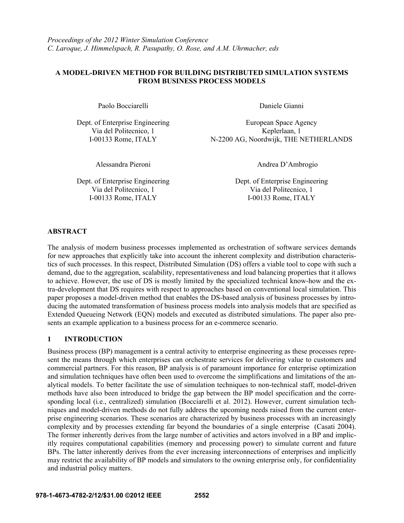## **A MODEL-DRIVEN METHOD FOR BUILDING DISTRIBUTED SIMULATION SYSTEMS FROM BUSINESS PROCESS MODELS**

Paolo Bocciarelli Daniele Gianni

Dept. of Enterprise Engineering European Space Agency Via del Politecnico, 1<br>
I-00133 Rome. ITALY<br>
N-2200 AG. Noordwijk. THE N N-2200 AG, Noordwijk, THE NETHERLANDS

Dept. of Enterprise Engineering Dept. of Enterprise Engineering Via del Politecnico, 1 Via del Politecnico, 1 I-00133 Rome, ITALY I-00133 Rome, ITALY

Alessandra Pieroni Andrea D'Ambrogio

## **ABSTRACT**

The analysis of modern business processes implemented as orchestration of software services demands for new approaches that explicitly take into account the inherent complexity and distribution characteristics of such processes. In this respect, Distributed Simulation (DS) offers a viable tool to cope with such a demand, due to the aggregation, scalability, representativeness and load balancing properties that it allows to achieve. However, the use of DS is mostly limited by the specialized technical know-how and the extra-development that DS requires with respect to approaches based on conventional local simulation. This paper proposes a model-driven method that enables the DS-based analysis of business processes by introducing the automated transformation of business process models into analysis models that are specified as Extended Queueing Network (EQN) models and executed as distributed simulations. The paper also presents an example application to a business process for an e-commerce scenario.

# **1 INTRODUCTION**

Business process (BP) management is a central activity to enterprise engineering as these processes represent the means through which enterprises can orchestrate services for delivering value to customers and commercial partners. For this reason, BP analysis is of paramount importance for enterprise optimization and simulation techniques have often been used to overcome the simplifications and limitations of the analytical models. To better facilitate the use of simulation techniques to non-technical staff, model-driven methods have also been introduced to bridge the gap between the BP model specification and the corresponding local (i.e., centralized) simulation (Bocciarelli et al. 2012). However, current simulation techniques and model-driven methods do not fully address the upcoming needs raised from the current enterprise engineering scenarios. These scenarios are characterized by business processes with an increasingly complexity and by processes extending far beyond the boundaries of a single enterprise (Casati 2004). The former inherently derives from the large number of activities and actors involved in a BP and implicitly requires computational capabilities (memory and processing power) to simulate current and future BPs. The latter inherently derives from the ever increasing interconnections of enterprises and implicitly may restrict the availability of BP models and simulators to the owning enterprise only, for confidentiality and industrial policy matters.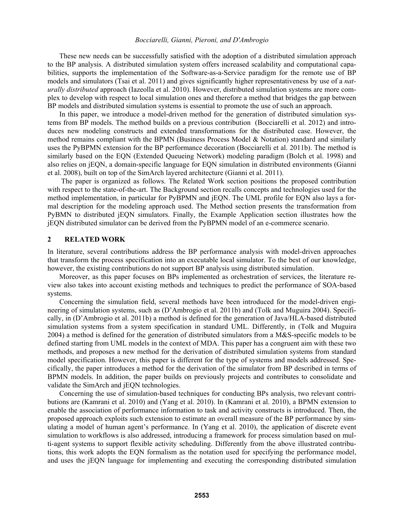These new needs can be successfully satisfied with the adoption of a distributed simulation approach to the BP analysis. A distributed simulation system offers increased scalability and computational capabilities, supports the implementation of the Software-as-a-Service paradigm for the remote use of BP models and simulators (Tsai et al. 2011) and gives significantly higher representativeness by use of a *naturally distributed* approach (Iazeolla et al. 2010). However, distributed simulation systems are more complex to develop with respect to local simulation ones and therefore a method that bridges the gap between BP models and distributed simulation systems is essential to promote the use of such an approach.

In this paper, we introduce a model-driven method for the generation of distributed simulation systems from BP models. The method builds on a previous contribution (Bocciarelli et al. 2012) and introduces new modeling constructs and extended transformations for the distributed case. However, the method remains compliant with the BPMN (Business Process Model & Notation) standard and similarly uses the PyBPMN extension for the BP performance decoration (Bocciarelli et al. 2011b). The method is similarly based on the EQN (Extended Queueing Network) modeling paradigm (Bolch et al. 1998) and also relies on jEQN, a domain-specific language for EQN simulation in distributed environments (Gianni et al. 2008), built on top of the SimArch layered architecture (Gianni et al. 2011).

 The paper is organized as follows. The Related Work section positions the proposed contribution with respect to the state-of-the-art. The Background section recalls concepts and technologies used for the method implementation, in particular for PyBPMN and jEQN. The UML profile for EQN also lays a formal description for the modeling approach used. The Method section presents the transformation from PyBMN to distributed jEQN simulators. Finally, the Example Application section illustrates how the jEQN distributed simulator can be derived from the PyBPMN model of an e-commerce scenario.

### **2 RELATED WORK**

In literature, several contributions address the BP performance analysis with model-driven approaches that transform the process specification into an executable local simulator. To the best of our knowledge, however, the existing contributions do not support BP analysis using distributed simulation.

Moreover, as this paper focuses on BPs implemented as orchestration of services, the literature review also takes into account existing methods and techniques to predict the performance of SOA-based systems.

 Concerning the simulation field, several methods have been introduced for the model-driven engineering of simulation systems, such as (D'Ambrogio et al. 2011b) and (Tolk and Muguira 2004). Specifically, in (D'Ambrogio et al. 2011b) a method is defined for the generation of Java/HLA-based distributed simulation systems from a system specification in standard UML. Differently, in (Tolk and Muguira 2004) a method is defined for the generation of distributed simulators from a M&S-specific models to be defined starting from UML models in the context of MDA. This paper has a congruent aim with these two methods, and proposes a new method for the derivation of distributed simulation systems from standard model specification. However, this paper is different for the type of systems and models addressed. Specifically, the paper introduces a method for the derivation of the simulator from BP described in terms of BPMN models. In addition, the paper builds on previously projects and contributes to consolidate and validate the SimArch and jEQN technologies.

 Concerning the use of simulation-based techniques for conducting BPs analysis, two relevant contributions are (Kamrani et al. 2010) and (Yang et al. 2010). In (Kamrani et al. 2010), a BPMN extension to enable the association of performance information to task and activity constructs is introduced. Then, the proposed approach exploits such extension to estimate an overall measure of the BP performance by simulating a model of human agent's performance. In (Yang et al. 2010), the application of discrete event simulation to workflows is also addressed, introducing a framework for process simulation based on multi-agent systems to support flexible activity scheduling. Differently from the above illustrated contributions, this work adopts the EQN formalism as the notation used for specifying the performance model, and uses the jEQN language for implementing and executing the corresponding distributed simulation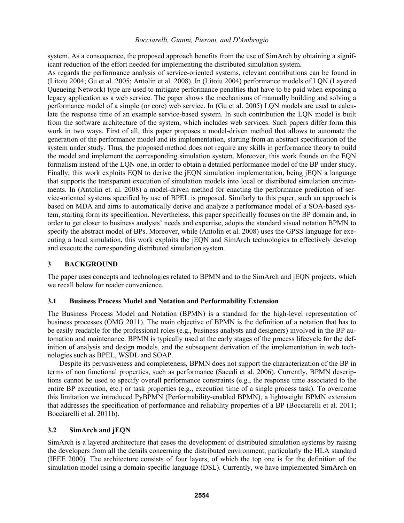system. As a consequence, the proposed approach benefits from the use of SimArch by obtaining a significant reduction of the effort needed for implementing the distributed simulation system.

As regards the performance analysis of service-oriented systems, relevant contributions can be found in (Litoiu 2004; Gu et al. 2005; Antolin et al. 2008). In (Litoiu 2004) performance models of LQN (Layered Queueing Network) type are used to mitigate performance penalties that have to be paid when exposing a legacy application as a web service. The paper shows the mechanisms of manually building and solving a performance model of a simple (or core) web service. In (Gu et al. 2005) LQN models are used to calculate the response time of an example service-based system. In such contribution the LQN model is built from the software architecture of the system, which includes web services. Such papers differ form this work in two ways. First of all, this paper proposes a model-driven method that allows to automate the generation of the performance model and its implementation, starting from an abstract specification of the system under study. Thus, the proposed method does not require any skills in performance theory to build the model and implement the corresponding simulation system. Moreover, this work founds on the EQN formalism instead of the LQN one, in order to obtain a detailed performance model of the BP under study. Finally, this work exploits EQN to derive the jEQN simulation implementation, being jEQN a language that supports the transparent execution of simulation models into local or distributed simulation environments. In (Antolin et. al. 2008) a model-driven method for enacting the performance prediction of service-oriented systems specified by use of BPEL is proposed. Similarly to this paper, such an approach is based on MDA and aims to automatically derive and analyze a performance model of a SOA-based system, starting form its specification. Nevertheless, this paper specifically focuses on the BP domain and, in order to get closer to business analysts' needs and expertise, adopts the standard visual notation BPMN to specify the abstract model of BPs. Moreover, while (Antolin et al. 2008) uses the GPSS language for executing a local simulation, this work exploits the jEQN and SimArch technologies to effectively develop and execute the corresponding distributed simulation system.

## **3 BACKGROUND**

The paper uses concepts and technologies related to BPMN and to the SimArch and jEQN projects, which we recall below for reader convenience.

## **3.1 Business Process Model and Notation and Performability Extension**

The Business Process Model and Notation (BPMN) is a standard for the high-level representation of business processes (OMG 2011). The main objective of BPMN is the definition of a notation that has to be easily readable for the professional roles (e.g., business analysts and designers) involved in the BP automation and maintenance. BPMN is typically used at the early stages of the process lifecycle for the definition of analysis and design models, and the subsequent derivation of the implementation in web technologies such as BPEL, WSDL and SOAP.

 Despite its pervasiveness and completeness, BPMN does not support the characterization of the BP in terms of non functional properties, such as performance (Saeedi et al. 2006). Currently, BPMN descriptions cannot be used to specify overall performance constraints (e.g., the response time associated to the entire BP execution, etc.) or task properties (e.g., execution time of a single process task). To overcome this limitation we introduced PyBPMN (Performability-enabled BPMN), a lightweight BPMN extension that addresses the specification of performance and reliability properties of a BP (Bocciarelli et al. 2011; Bocciarelli et al. 2011b).

## **3.2 SimArch and jEQN**

SimArch is a layered architecture that eases the development of distributed simulation systems by raising the developers from all the details concerning the distributed environment, particularly the HLA standard (IEEE 2000). The architecture consists of four layers, of which the top one is for the definition of the simulation model using a domain-specific language (DSL). Currently, we have implemented SimArch on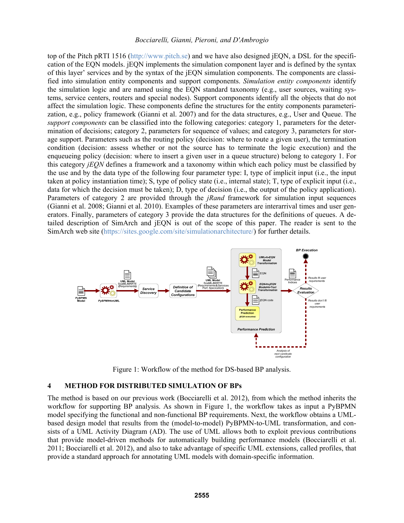top of the Pitch pRTI 1516 (http://www.pitch.se) and we have also designed jEQN, a DSL for the specification of the EQN models. jEQN implements the simulation component layer and is defined by the syntax of this layer' services and by the syntax of the jEQN simulation components. The components are classified into simulation entity components and support components. *Simulation entity components* identify the simulation logic and are named using the EQN standard taxonomy (e.g., user sources, waiting systems, service centers, routers and special nodes). Support components identify all the objects that do not affect the simulation logic. These components define the structures for the entity components parameterization, e.g., policy framework (Gianni et al. 2007) and for the data structures, e.g., User and Queue. The *support components* can be classified into the following categories: category 1, parameters for the determination of decisions; category 2, parameters for sequence of values; and category 3, parameters for storage support. Parameters such as the routing policy (decision: where to route a given user), the termination condition (decision: assess whether or not the source has to terminate the logic execution) and the enqueueing policy (decision: where to insert a given user in a queue structure) belong to category 1. For this category *jEQN* defines a framework and a taxonomy within which each policy must be classified by the use and by the data type of the following four parameter type: I, type of implicit input (i.e., the input taken at policy instantiation time); S, type of policy state (i.e., internal state); T, type of explicit input (i.e., data for which the decision must be taken); D, type of decision (i.e., the output of the policy application). Parameters of category 2 are provided through the *jRand* framework for simulation input sequences (Gianni et al. 2008; Gianni et al. 2010). Examples of these parameters are interarrival times and user generators. Finally, parameters of category 3 provide the data structures for the definitions of queues. A detailed description of SimArch and jEQN is out of the scope of this paper. The reader is sent to the SimArch web site (https://sites.google.com/site/simulationarchitecture/) for further details.



Figure 1: Workflow of the method for DS-based BP analysis.

### **4 METHOD FOR DISTRIBUTED SIMULATION OF BPs**

The method is based on our previous work (Bocciarelli et al. 2012), from which the method inherits the workflow for supporting BP analysis. As shown in Figure 1, the workflow takes as input a PyBPMN model specifying the functional and non-functional BP requirements. Next, the workflow obtains a UMLbased design model that results from the (model-to-model) PyBPMN-to-UML transformation, and consists of a UML Activity Diagram (AD). The use of UML allows both to exploit previous contributions that provide model-driven methods for automatically building performance models (Bocciarelli et al. 2011; Bocciarelli et al. 2012), and also to take advantage of specific UML extensions, called profiles, that provide a standard approach for annotating UML models with domain-specific information.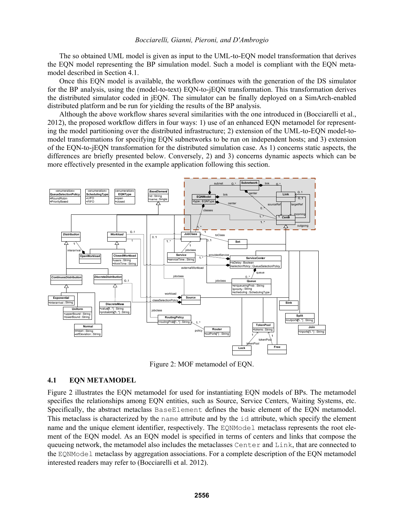The so obtained UML model is given as input to the UML-to-EQN model transformation that derives the EQN model representing the BP simulation model. Such a model is compliant with the EQN metamodel described in Section 4.1.

 Once this EQN model is available, the workflow continues with the generation of the DS simulator for the BP analysis, using the (model-to-text) EQN-to-jEQN transformation. This transformation derives the distributed simulator coded in jEQN. The simulator can be finally deployed on a SimArch-enabled distributed platform and be run for yielding the results of the BP analysis.

 Although the above workflow shares several similarities with the one introduced in (Bocciarelli et al., 2012), the proposed workflow differs in four ways: 1) use of an enhanced EQN metamodel for representing the model partitioning over the distributed infrastructure; 2) extension of the UML-to-EQN model-tomodel transformations for specifying EQN subnetworks to be run on independent hosts; and 3) extension of the EQN-to-jEQN transformation for the distributed simulation case. As 1) concerns static aspects, the differences are briefly presented below. Conversely, 2) and 3) concerns dynamic aspects which can be more effectively presented in the example application following this section.



Figure 2: MOF metamodel of EQN.

#### **4.1 EQN METAMODEL**

Figure 2 illustrates the EQN metamodel for used for instantiating EQN models of BPs. The metamodel specifies the relationships among EQN entities, such as Source, Service Centers, Waiting Systems, etc. Specifically, the abstract metaclass BaseElement defines the basic element of the EQN metamodel. This metaclass is characterized by the name attribute and by the id attribute, which specify the element name and the unique element identifier, respectively. The EQNModel metaclass represents the root element of the EQN model. As an EQN model is specified in terms of centers and links that compose the queueing network, the metamodel also includes the metaclasses Center and Link, that are connected to the EQNModel metaclass by aggregation associations. For a complete description of the EQN metamodel interested readers may refer to (Bocciarelli et al. 2012).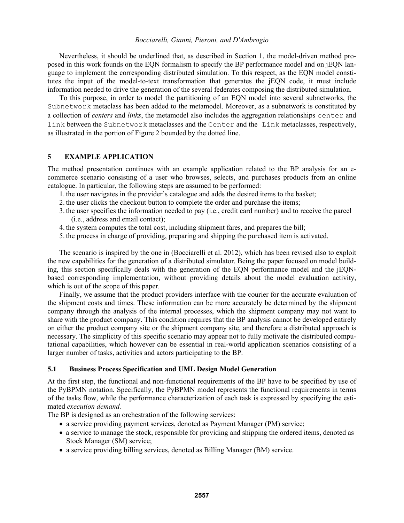Nevertheless, it should be underlined that, as described in Section 1, the model-driven method proposed in this work founds on the EQN formalism to specify the BP performance model and on jEQN language to implement the corresponding distributed simulation. To this respect, as the EQN model constitutes the input of the model-to-text transformation that generates the jEQN code, it must include information needed to drive the generation of the several federates composing the distributed simulation.

 To this purpose, in order to model the partitioning of an EQN model into several subnetworks, the Subnetwork metaclass has been added to the metamodel. Moreover, as a subnetwork is constituted by a collection of *centers* and *links*, the metamodel also includes the aggregation relationships center and link between the Subnetwork metaclasses and the Center and the Link metaclasses, respectively, as illustrated in the portion of Figure 2 bounded by the dotted line.

### **5 EXAMPLE APPLICATION**

The method presentation continues with an example application related to the BP analysis for an ecommerce scenario consisting of a user who browses, selects, and purchases products from an online catalogue. In particular, the following steps are assumed to be performed:

- 1. the user navigates in the provider's catalogue and adds the desired items to the basket;
- 2. the user clicks the checkout button to complete the order and purchase the items;
- 3. the user specifies the information needed to pay (i.e., credit card number) and to receive the parcel (i.e., address and email contact);
- 4. the system computes the total cost, including shipment fares, and prepares the bill;
- 5. the process in charge of providing, preparing and shipping the purchased item is activated.

The scenario is inspired by the one in (Bocciarelli et al. 2012), which has been revised also to exploit the new capabilities for the generation of a distributed simulator. Being the paper focused on model building, this section specifically deals with the generation of the EQN performance model and the jEQNbased corresponding implementation, without providing details about the model evaluation activity, which is out of the scope of this paper.

Finally, we assume that the product providers interface with the courier for the accurate evaluation of the shipment costs and times. These information can be more accurately be determined by the shipment company through the analysis of the internal processes, which the shipment company may not want to share with the product company. This condition requires that the BP analysis cannot be developed entirely on either the product company site or the shipment company site, and therefore a distributed approach is necessary. The simplicity of this specific scenario may appear not to fully motivate the distributed computational capabilities, which however can be essential in real-world application scenarios consisting of a larger number of tasks, activities and actors participating to the BP.

### **5.1 Business Process Specification and UML Design Model Generation**

At the first step, the functional and non-functional requirements of the BP have to be specified by use of the PyBPMN notation. Specifically, the PyBPMN model represents the functional requirements in terms of the tasks flow, while the performance characterization of each task is expressed by specifying the estimated *execution demand.*

The BP is designed as an orchestration of the following services:

- a service providing payment services, denoted as Payment Manager (PM) service;
- a service to manage the stock, responsible for providing and shipping the ordered items, denoted as Stock Manager (SM) service;
- a service providing billing services, denoted as Billing Manager (BM) service.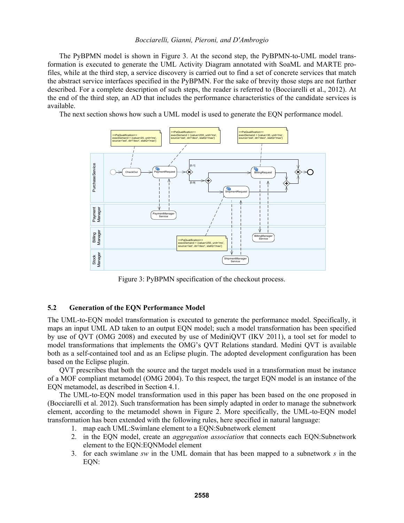The PyBPMN model is shown in Figure 3. At the second step, the PyBPMN-to-UML model transformation is executed to generate the UML Activity Diagram annotated with SoaML and MARTE profiles, while at the third step, a service discovery is carried out to find a set of concrete services that match the abstract service interfaces specified in the PyBPMN. For the sake of brevity those steps are not further described. For a complete description of such steps, the reader is referred to (Bocciarelli et al., 2012). At the end of the third step, an AD that includes the performance characteristics of the candidate services is available.

The next section shows how such a UML model is used to generate the EQN performance model.



Figure 3: PyBPMN specification of the checkout process.

### **5.2 Generation of the EQN Performance Model**

The UML-to-EQN model transformation is executed to generate the performance model. Specifically, it maps an input UML AD taken to an output EQN model; such a model transformation has been specified by use of QVT (OMG 2008) and executed by use of MediniQVT (IKV 2011), a tool set for model to model transformations that implements the OMG's QVT Relations standard. Medini QVT is available both as a self-contained tool and as an Eclipse plugin. The adopted development configuration has been based on the Eclipse plugin.

QVT prescribes that both the source and the target models used in a transformation must be instance of a MOF compliant metamodel (OMG 2004). To this respect, the target EQN model is an instance of the EQN metamodel, as described in Section 4.1.

The UML-to-EQN model transformation used in this paper has been based on the one proposed in (Bocciarelli et al. 2012). Such transformation has been simply adapted in order to manage the subnetwork element, according to the metamodel shown in Figure 2. More specifically, the UML-to-EQN model transformation has been extended with the following rules, here specified in natural language:

- 1. map each UML:Swimlane element to a EQN:Subnetwork element
- 2. in the EQN model, create an *aggregation association* that connects each EQN:Subnetwork element to the EQN:EQNModel element
- 3. for each swimlane *sw* in the UML domain that has been mapped to a subnetwork *s* in the EON: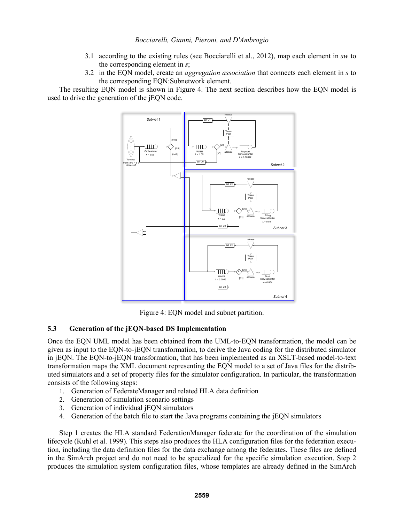- 3.1 according to the existing rules (see Bocciarelli et al., 2012), map each element in *sw* to the corresponding element in *s*;
- 3.2 in the EQN model, create an *aggregation association* that connects each element in *s* to the corresponding EQN:Subnetwork element.

The resulting EQN model is shown in Figure 4. The next section describes how the EQN model is used to drive the generation of the jEQN code.



Figure 4: EQN model and subnet partition.

## **5.3 Generation of the jEQN-based DS Implementation**

Once the EQN UML model has been obtained from the UML-to-EQN transformation, the model can be given as input to the EQN-to-jEQN transformation, to derive the Java coding for the distributed simulator in jEQN. The EQN-to-jEQN transformation, that has been implemented as an XSLT-based model-to-text transformation maps the XML document representing the EQN model to a set of Java files for the distributed simulators and a set of property files for the simulator configuration. In particular, the transformation consists of the following steps:

- 1. Generation of FederateManager and related HLA data definition
- 2. Generation of simulation scenario settings
- 3. Generation of individual jEQN simulators
- 4. Generation of the batch file to start the Java programs containing the jEQN simulators

Step 1 creates the HLA standard FederationManager federate for the coordination of the simulation lifecycle (Kuhl et al. 1999). This steps also produces the HLA configuration files for the federation execution, including the data definition files for the data exchange among the federates. These files are defined in the SimArch project and do not need to be specialized for the specific simulation execution. Step 2 produces the simulation system configuration files, whose templates are already defined in the SimArch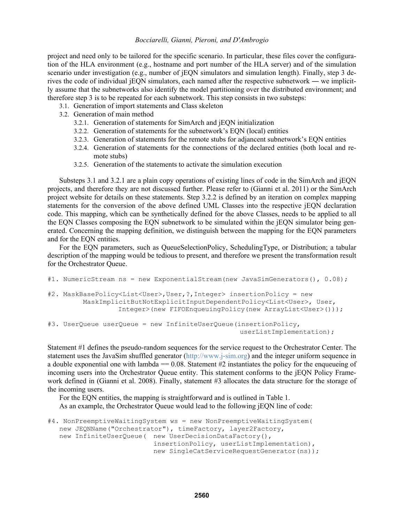project and need only to be tailored for the specific scenario. In particular, these files cover the configuration of the HLA environment (e.g., hostname and port number of the HLA server) and of the simulation scenario under investigation (e.g., number of jEQN simulators and simulation length). Finally, step 3 derives the code of individual jEQN simulators, each named after the respective subnetwork ― we implicitly assume that the subnetworks also identify the model partitioning over the distributed environment; and therefore step 3 is to be repeated for each subnetwork. This step consists in two substeps:

- 3.1. Generation of import statements and Class skeleton
- 3.2. Generation of main method
	- 3.2.1. Generation of statements for SimArch and jEQN initialization
	- 3.2.2. Generation of statements for the subnetwork's EQN (local) entities
	- 3.2.3. Generation of statements for the remote stubs for adjancent subnetwork's EQN entities
	- 3.2.4. Generation of statements for the connections of the declared entities (both local and remote stubs)
	- 3.2.5. Generation of the statements to activate the simulation execution

Substeps 3.1 and 3.2.1 are a plain copy operations of existing lines of code in the SimArch and jEQN projects, and therefore they are not discussed further. Please refer to (Gianni et al. 2011) or the SimArch project website for details on these statements. Step 3.2.2 is defined by an iteration on complex mapping statements for the conversion of the above defined UML Classes into the respective jEQN declaration code. This mapping, which can be synthetically defined for the above Classes, needs to be applied to all the EQN Classes composing the EQN subnetwork to be simulated within the jEQN simulator being generated. Concerning the mapping definition, we distinguish between the mapping for the EQN parameters and for the EQN entities.

 For the EQN parameters, such as QueueSelectionPolicy, SchedulingType, or Distribution; a tabular description of the mapping would be tedious to present, and therefore we present the transformation result for the Orchestrator Queue.

```
#1. NumericStream ns = new ExponentialStream (new JavaSimGenerators (), 0.08);
#2. MaskBasePolicy<List<User>,User,?,Integer> insertionPolicy = new 
          MaskImplicitButNotExplicitInputDependentPolicy<List<User>, User, 
                   Integer>(new FIFOEnqueuingPolicy(new ArrayList<User>())); 
#3. UserQueue userQueue = new InfiniteUserQueue(insertionPolicy, 
                                                   userListImplementation);
```
Statement #1 defines the pseudo-random sequences for the service request to the Orchestrator Center. The statement uses the JavaSim shuffled generator (http://www.j-sim.org) and the integer uniform sequence in a double exponential one with lambda  $== 0.08$ . Statement #2 instantiates the policy for the enqueueing of incoming users into the Orchestrator Queue entity. This statement conforms to the jEQN Policy Framework defined in (Gianni et al. 2008). Finally, statement #3 allocates the data structure for the storage of the incoming users.

 For the EQN entities, the mapping is straightforward and is outlined in Table 1. As an example, the Orchestrator Queue would lead to the following jEQN line of code:

```
#4. NonPreemptiveWaitingSystem ws = new NonPreemptiveWaitingSystem( 
    new JEQNName("Orchestrator"), timeFactory, layer2Factory, 
  new InfiniteUserQueue( new UserDecisionDataFactory(),
                            insertionPolicy, userListImplementation), 
                           new SingleCatServiceRequestGenerator(ns));
```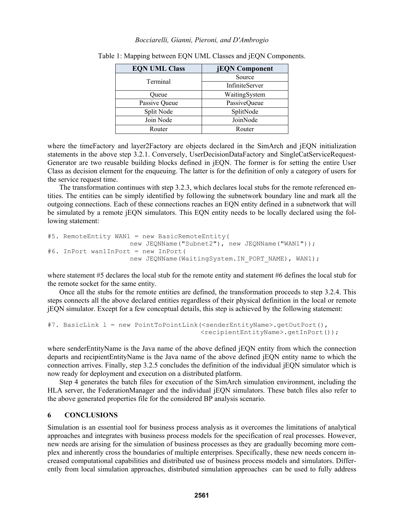| <b>EQN UML Class</b> | <b>jEQN</b> Component |
|----------------------|-----------------------|
| Terminal             | Source                |
|                      | <b>InfiniteServer</b> |
| Oueue                | WaitingSystem         |
| Passive Queue        | <b>PassiveQueue</b>   |
| Split Node           | SplitNode             |
| Join Node            | JoinNode              |
| Router               | Router                |

Table 1: Mapping between EQN UML Classes and jEQN Components.

where the timeFactory and layer2Factory are objects declared in the SimArch and jEON initialization statements in the above step 3.2.1. Conversely, UserDecisionDataFactory and SingleCatServiceRequest-Generator are two reusable building blocks defined in jEQN. The former is for setting the entire User Class as decision element for the enqueuing. The latter is for the definition of only a category of users for the service request time.

 The transformation continues with step 3.2.3, which declares local stubs for the remote referenced entities. The entities can be simply identified by following the subnetwork boundary line and mark all the outgoing connections. Each of these connections reaches an EQN entity defined in a subnetwork that will be simulated by a remote jEQN simulators. This EQN entity needs to be locally declared using the following statement:

```
#5. RemoteEntity WAN1 = new BasicRemoteEntity( 
                    new JEQNName("Subnet2"), new JEQNName("WAN1"));
#6. InPort wan1InPort = new InPort( 
                    new JEQNName(WaitingSystem.IN PORT NAME), WAN1);
```
where statement #5 declares the local stub for the remote entity and statement #6 defines the local stub for the remote socket for the same entity.

 Once all the stubs for the remote entities are defined, the transformation proceeds to step 3.2.4. This steps connects all the above declared entities regardless of their physical definition in the local or remote jEQN simulator. Except for a few conceptual details, this step is achieved by the following statement:

```
#7. BasicLink l = new PointToPointLink(<senderEntityName>.getOutPort(), 
                                         <recipientEntityName>.getInPort());
```
where senderEntityName is the Java name of the above defined jEQN entity from which the connection departs and recipientEntityName is the Java name of the above defined jEQN entity name to which the connection arrives. Finally, step 3.2.5 concludes the definition of the individual jEQN simulator which is now ready for deployment and execution on a distributed platform.

 Step 4 generates the batch files for execution of the SimArch simulation environment, including the HLA server, the FederationManager and the individual jEQN simulators. These batch files also refer to the above generated properties file for the considered BP analysis scenario.

### **6 CONCLUSIONS**

Simulation is an essential tool for business process analysis as it overcomes the limitations of analytical approaches and integrates with business process models for the specification of real processes. However, new needs are arising for the simulation of business processes as they are gradually becoming more complex and inherently cross the boundaries of multiple enterprises. Specifically, these new needs concern increased computational capabilities and distributed use of business process models and simulators. Differently from local simulation approaches, distributed simulation approaches can be used to fully address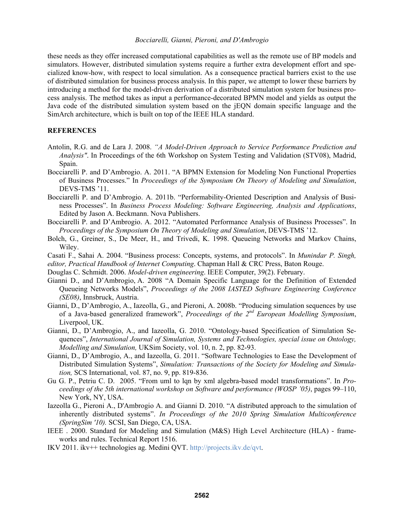these needs as they offer increased computational capabilities as well as the remote use of BP models and simulators. However, distributed simulation systems require a further extra development effort and specialized know-how, with respect to local simulation. As a consequence practical barriers exist to the use of distributed simulation for business process analysis. In this paper, we attempt to lower these barriers by introducing a method for the model-driven derivation of a distributed simulation system for business process analysis. The method takes as input a performance-decorated BPMN model and yields as output the Java code of the distributed simulation system based on the jEQN domain specific language and the SimArch architecture, which is built on top of the IEEE HLA standard.

### **REFERENCES**

- Antolin, R.G. and de Lara J. 2008. *"A Model-Driven Approach to Service Performance Prediction and Analysis"*. In Proceedings of the 6th Workshop on System Testing and Validation (STV08), Madrid, Spain.
- Bocciarelli P. and D'Ambrogio. A. 2011. "A BPMN Extension for Modeling Non Functional Properties of Business Processes." In *Proceedings of the Symposium On Theory of Modeling and Simulation*, DEVS-TMS '11.
- Bocciarelli P. and D'Ambrogio. A. 2011b. "Performability-Oriented Description and Analysis of Business Processes". In *Business Process Modeling: Software Engineering, Analysis and Applications*, Edited by Jason A. Beckmann. Nova Publishers.
- Bocciarelli P. and D'Ambrogio. A. 2012. "Automated Performance Analysis of Business Processes". In *Proceedings of the Symposium On Theory of Modeling and Simulation*, DEVS-TMS '12.
- Bolch, G., Greiner, S., De Meer, H., and Trivedi, K. 1998. Queueing Networks and Markov Chains, Wiley.
- Casati F., Sahai A. 2004. "Business process: Concepts, systems, and protocols". In *Munindar P. Singh, editor, Practical Handbook of Internet Computing*. Chapman Hall & CRC Press, Baton Rouge.
- Douglas C. Schmidt. 2006. *Model-driven engineering*. IEEE Computer, 39(2). February.
- Gianni D., and D'Ambrogio, A. 2008 "A Domain Specific Language for the Definition of Extended Queueing Networks Models", *Proceedings of the 2008 IASTED Software Engineering Conference (SE08)*, Innsbruck, Austria.
- Gianni, D., D'Ambrogio, A., Iazeolla, G., and Pieroni, A. 2008b. "Producing simulation sequences by use of a Java-based generalized framework", *Proceedings of the 2nd European Modelling Symposium*, Liverpool, UK.
- Gianni, D., D'Ambrogio, A., and Iazeolla, G. 2010. "Ontology-based Specification of Simulation Sequences", *International Journal of Simulation, Systems and Technologies, special issue on Ontology, Modelling and Simulation,* UKSim Society, vol. 10, n. 2, pp. 82-93.
- Gianni, D., D'Ambrogio, A., and Iazeolla, G. 2011. "Software Technologies to Ease the Development of Distributed Simulation Systems", *Simulation: Transactions of the Society for Modeling and Simulation,* SCS International, vol. 87, no. 9, pp. 819-836.
- Gu G. P., Petriu C. D. 2005. "From uml to lqn by xml algebra-based model transformations". In *Proceedings of the 5th international workshop on Software and performance (WOSP '05)*, pages 99–110, New York, NY, USA.
- Iazeolla G., Pieroni A., D'Ambrogio A. and Gianni D. 2010. "A distributed approach to the simulation of inherently distributed systems". *In Proceedings of the 2010 Spring Simulation Multiconference (SpringSim '10).* SCSI, San Diego, CA, USA.
- IEEE . 2000. Standard for Modeling and Simulation (M&S) High Level Architecture (HLA) frameworks and rules. Technical Report 1516.
- IKV 2011. ikv++ technologies ag. Medini QVT. http://projects.ikv.de/qvt.